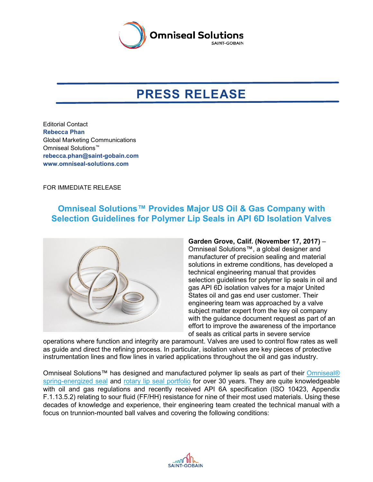

## **PRESS RELEASE**

Editorial Contact **Rebecca Phan** Global Marketing Communications Omniseal Solutions™ **[rebecca.phan@saint-gobain.com](mailto:rebecca.phan@saint-gobain.com) [www.omniseal-solutions.com](http://www.omniseal-solutions.com/)**

FOR IMMEDIATE RELEASE

## **Omniseal Solutions™ Provides Major US Oil & Gas Company with Selection Guidelines for Polymer Lip Seals in API 6D Isolation Valves**



**Garden Grove, Calif. (November 17, 2017)** – Omniseal Solutions™, a global designer and manufacturer of precision sealing and material solutions in extreme conditions, has developed a technical engineering manual that provides selection guidelines for polymer lip seals in oil and gas API 6D isolation valves for a major United States oil and gas end user customer. Their engineering team was approached by a valve subject matter expert from the key oil company with the guidance document request as part of an effort to improve the awareness of the importance of seals as critical parts in severe service

operations where function and integrity are paramount. Valves are used to control flow rates as well as guide and direct the refining process. In particular, isolation valves are key pieces of protective instrumentation lines and flow lines in varied applications throughout the oil and gas industry.

Omniseal Solutions™ has designed and manufactured polymer lip seals as part of their [Omniseal®](https://www.omniseal-solutions.com/components/omniseal-polymers/omniseal-spring-energized-seals) [spring-energized seal](https://www.omniseal-solutions.com/components/omniseal-polymers/omniseal-spring-energized-seals) and [rotary lip seal portfolio](https://www.omniseal-solutions.com/components/omniseal-polymers/omniseal-rotary-lip-seals) for over 30 years. They are quite knowledgeable with oil and gas regulations and recently received API 6A specification (ISO 10423, Appendix F.1.13.5.2) relating to sour fluid (FF/HH) resistance for nine of their most used materials. Using these decades of knowledge and experience, their engineering team created the technical manual with a focus on trunnion-mounted ball valves and covering the following conditions: